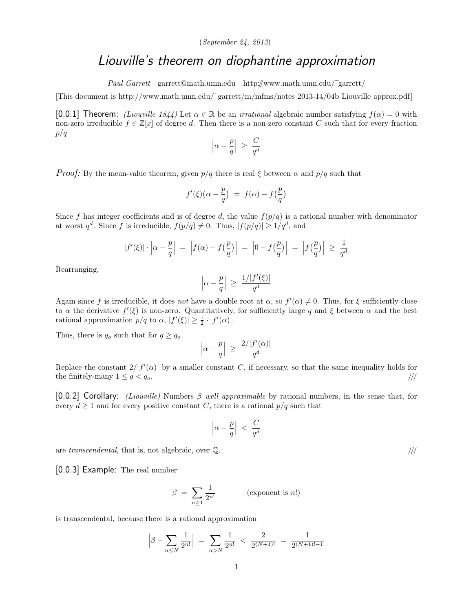## (September 24, 2013)

## Liouville's theorem on diophantine approximation

Paul Garrett garrett@math.umn.edu http://www.math.umn.edu/~garrett/

[This document is http://www.math.umn.edu/˜garrett/m/mfms/notes 2013-14/04b Liouville approx.pdf]

[0.0.1] Theorem: *(Liouville 1844)* Let  $\alpha \in \mathbb{R}$  be an *irrational* algebraic number satisfying  $f(\alpha) = 0$  with non-zero irreducible  $f \in \mathbb{Z}[x]$  of degree d. Then there is a non-zero constant C such that for every fraction p/q

$$
\left|\alpha-\frac{p}{q}\right| ~\geq ~ \frac{C}{q^d}
$$

*Proof:* By the mean-value theorem, given  $p/q$  there is real  $\xi$  between  $\alpha$  and  $p/q$  such that

$$
f'(\xi)(\alpha - \frac{p}{q}) = f(\alpha) - f(\frac{p}{q})
$$

Since f has integer coefficients and is of degree d, the value  $f(p/q)$  is a rational number with denominator at worst  $q^d$ . Since f is irreducible,  $f(p/q) \neq 0$ . Thus,  $|f(p/q)| \geq 1/q^d$ , and

$$
|f'(\xi)| \cdot \left| \alpha - \frac{p}{q} \right| = |f(\alpha) - f(\frac{p}{q})| = |0 - f(\frac{p}{q})| = |f(\frac{p}{q})| \ge \frac{1}{q^d}
$$

Rearranging,

$$
\left|\alpha-\frac{p}{q}\right| ~\geq ~ \frac{1/|f'(\xi)|}{q^d}
$$

Again since f is irreducible, it does not have a double root at  $\alpha$ , so  $f'(\alpha) \neq 0$ . Thus, for  $\xi$  sufficiently close to  $\alpha$  the derivative  $f'(\xi)$  is non-zero. Quantitatively, for sufficiently large q and  $\xi$  between  $\alpha$  and the best rational approximation  $p/q$  to  $\alpha$ ,  $|f'(\xi)| \geq \frac{1}{2} \cdot |f'(\alpha)|$ .

Thus, there is  $q_o$  such that for  $q \geq q_o$ 

$$
\left|\alpha-\frac{p}{q}\right| \ \geq \ \frac{2/|f'(\alpha)|}{q^d}
$$

Replace the constant  $2/|f'(\alpha)|$  by a smaller constant C, if necessary, so that the same inequality holds for the finitely-many  $1 \leq q < q_o$ .

[0.0.2] Corollary: *(Liouville)* Numbers  $\beta$  well approximable by rational numbers, in the sense that, for every  $d \geq 1$  and for every positive constant C, there is a rational  $p/q$  such that

$$
\left|\alpha-\frac{p}{q}\right| ~<~ \frac{C}{q^d}
$$

are transcendental, that is, not algebraic, over  $\mathbb{Q}$ .  $\vert\vert\vert$ 

[0.0.3] Example: The real number

$$
\beta = \sum_{n\geq 1} \frac{1}{2^{n!}} \qquad \qquad \text{(exponent is } n!)
$$

is transcendental, because there is a rational approximation

$$
\left|\beta - \sum_{n \le N} \frac{1}{2^{n!}}\right| \ = \ \sum_{n > N} \frac{1}{2^{n!}} \ < \ \frac{2}{2^{(N+1)!}} \ = \ \frac{1}{2^{(N+1)!-1}}
$$